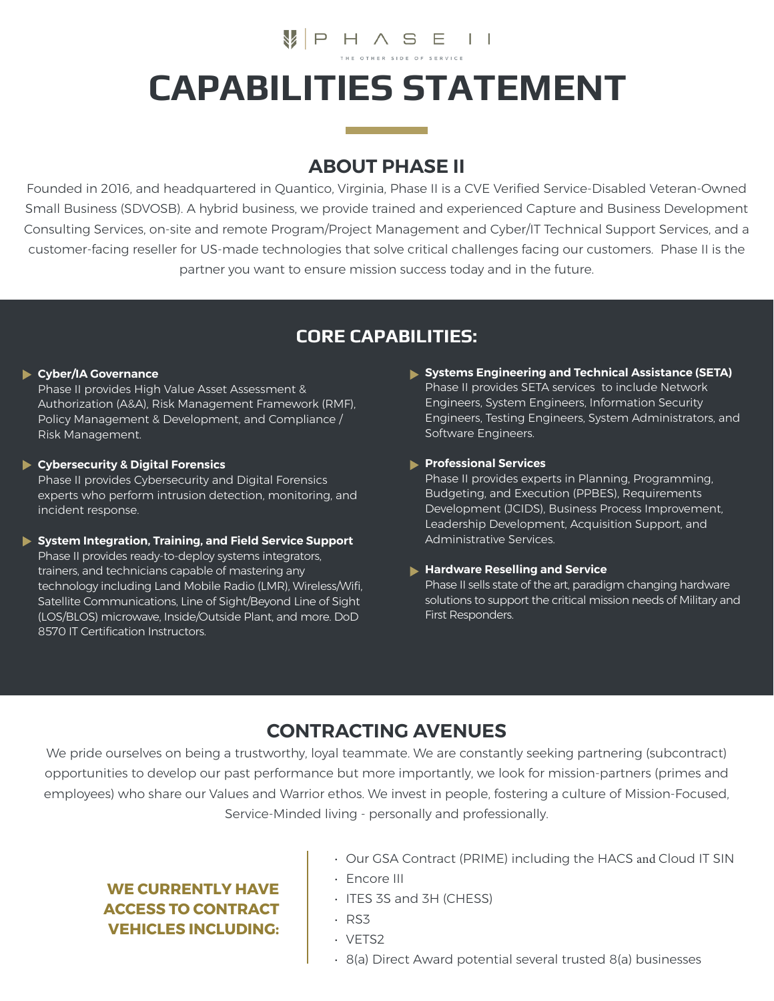# **V**PHASEII **CAPABILITIES STATEMENT**

### **ABOUT PHASE II**

Founded in 2016, and headquartered in Quantico, Virginia, Phase II is a CVE Verified Service-Disabled Veteran-Owned Small Business (SDVOSB). A hybrid business, we provide trained and experienced Capture and Business Development Consulting Services, on-site and remote Program/Project Management and Cyber/IT Technical Support Services, and a customer-facing reseller for US-made technologies that solve critical challenges facing our customers. Phase II is the partner you want to ensure mission success today and in the future.

### **CORE CAPABILITIES:**

### **Cyber/IA Governance**

Phase II provides High Value Asset Assessment & Authorization (A&A), Risk Management Framework (RMF), Policy Management & Development, and Compliance / Risk Management.

#### **Cybersecurity & Digital Forensics**

Phase II provides Cybersecurity and Digital Forensics experts who perform intrusion detection, monitoring, and incident response.

#### **System Integration, Training, and Field Service Support**

Phase II provides ready-to-deploy systems integrators, trainers, and technicians capable of mastering any technology including Land Mobile Radio (LMR), Wireless/Wifi, Satellite Communications, Line of Sight/Beyond Line of Sight (LOS/BLOS) microwave, Inside/Outside Plant, and more. DoD 8570 IT Certification Instructors.

**Systems Engineering and Technical Assistance (SETA)**  Phase II provides SETA services to include Network Engineers, System Engineers, Information Security Engineers, Testing Engineers, System Administrators, and Software Engineers.

### **Professional Services**

Phase II provides experts in Planning, Programming, Budgeting, and Execution (PPBES), Requirements Development (JCIDS), Business Process Improvement, Leadership Development, Acquisition Support, and Administrative Services.

#### **Hardware Reselling and Service**

Phase II sells state of the art, paradigm changing hardware solutions to support the critical mission needs of Military and First Responders.

## **CONTRACTING AVENUES**

We pride ourselves on being a trustworthy, loyal teammate. We are constantly seeking partnering (subcontract) opportunities to develop our past performance but more importantly, we look for mission-partners (primes and employees) who share our Values and Warrior ethos. We invest in people, fostering a culture of Mission-Focused, Service-Minded living - personally and professionally.

### **WE CURRENTLY HAVE ACCESS TO CONTRACT VEHICLES INCLUDING:**

- Our GSA Contract (PRIME) including the HACS and Cloud IT SIN
- Encore III
- ITES 3S and 3H (CHESS)
- RS3
- VETS2
- 8(a) Direct Award potential several trusted 8(a) businesses